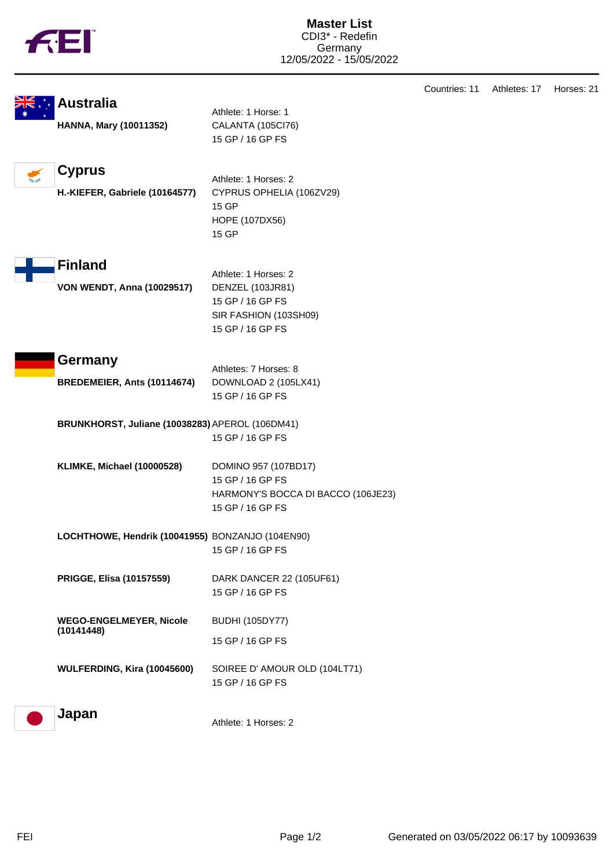|  | TМ |
|--|----|
|  |    |

|                                                  |                                    | Countries: 11 | Athletes: 17 | Horses: 21 |
|--------------------------------------------------|------------------------------------|---------------|--------------|------------|
| <b>Australia</b>                                 | Athlete: 1 Horse: 1                |               |              |            |
| <b>HANNA, Mary (10011352)</b>                    | CALANTA (105Cl76)                  |               |              |            |
|                                                  | 15 GP / 16 GP FS                   |               |              |            |
|                                                  |                                    |               |              |            |
| <b>Cyprus</b>                                    |                                    |               |              |            |
|                                                  | Athlete: 1 Horses: 2               |               |              |            |
| H.-KIEFER, Gabriele (10164577)                   | CYPRUS OPHELIA (106ZV29)<br>15 GP  |               |              |            |
|                                                  | HOPE (107DX56)                     |               |              |            |
|                                                  | 15 GP                              |               |              |            |
|                                                  |                                    |               |              |            |
| <b>Finland</b>                                   |                                    |               |              |            |
|                                                  | Athlete: 1 Horses: 2               |               |              |            |
| <b>VON WENDT, Anna (10029517)</b>                | DENZEL (103JR81)                   |               |              |            |
|                                                  | 15 GP / 16 GP FS                   |               |              |            |
|                                                  | SIR FASHION (103SH09)              |               |              |            |
|                                                  | 15 GP / 16 GP FS                   |               |              |            |
| Germany                                          |                                    |               |              |            |
|                                                  | Athletes: 7 Horses: 8              |               |              |            |
| BREDEMEIER, Ants (10114674)                      | DOWNLOAD 2 (105LX41)               |               |              |            |
|                                                  | 15 GP / 16 GP FS                   |               |              |            |
| BRUNKHORST, Juliane (10038283) APEROL (106DM41)  |                                    |               |              |            |
|                                                  | 15 GP / 16 GP FS                   |               |              |            |
|                                                  |                                    |               |              |            |
| <b>KLIMKE, Michael (10000528)</b>                | DOMINO 957 (107BD17)               |               |              |            |
|                                                  | 15 GP / 16 GP FS                   |               |              |            |
|                                                  | HARMONY'S BOCCA DI BACCO (106JE23) |               |              |            |
|                                                  | 15 GP / 16 GP FS                   |               |              |            |
| LOCHTHOWE, Hendrik (10041955) BONZANJO (104EN90) |                                    |               |              |            |
|                                                  | 15 GP / 16 GP FS                   |               |              |            |
|                                                  |                                    |               |              |            |
| PRIGGE, Elisa (10157559)                         | DARK DANCER 22 (105UF61)           |               |              |            |
|                                                  | 15 GP / 16 GP FS                   |               |              |            |
|                                                  |                                    |               |              |            |
| <b>WEGO-ENGELMEYER, Nicole</b><br>(10141448)     | <b>BUDHI (105DY77)</b>             |               |              |            |
|                                                  | 15 GP / 16 GP FS                   |               |              |            |
|                                                  |                                    |               |              |            |
| WULFERDING, Kira (10045600)                      | SOIREE D' AMOUR OLD (104LT71)      |               |              |            |
|                                                  | 15 GP / 16 GP FS                   |               |              |            |
| Japan                                            |                                    |               |              |            |
|                                                  | Athlete: 1 Horses: 2               |               |              |            |